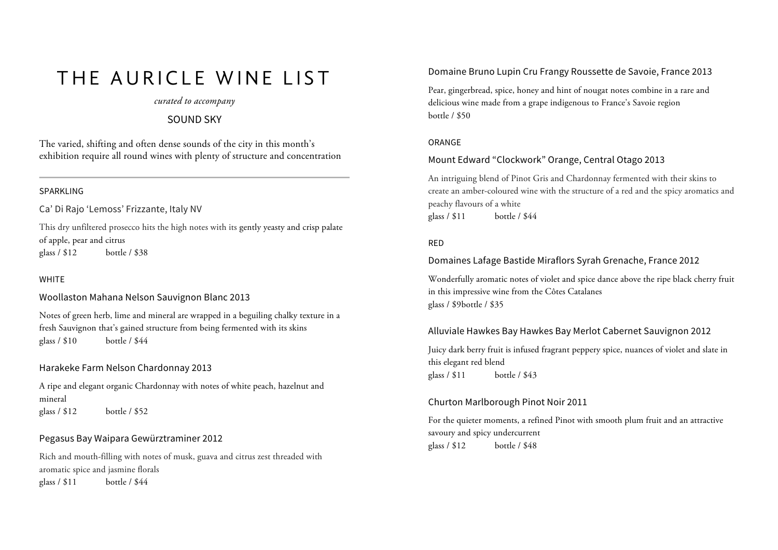# THE AURICLE WINE LIST

# *curated to accompany*

# SOUND SKY

The varied, shifting and often dense sounds of the city in this month's exhibition require all round wines with plenty of structure and concentration

#### SPARKLING

Ca' Di Rajo 'Lemoss' Frizzante, Italy NV

This dry unfiltered prosecco hits the high notes with its gently yeasty and crisp palate of apple, pear and citrus glass / \$12 bottle / \$38

### WHITE

Woollaston Mahana Nelson Sauvignon Blanc 2013

Notes of green herb, lime and mineral are wrapped in a beguiling chalky texture in a fresh Sauvignon that's gained structure from being fermented with its skins glass / \$10 bottle / \$44

### Harakeke Farm Nelson Chardonnay 2013

A ripe and elegant organic Chardonnay with notes of white peach, hazelnut and mineral glass / \$12 bottle / \$52

# Pegasus Bay Waipara Gewürztraminer 2012

Rich and mouth-filling with notes of musk, guava and citrus zest threaded with aromatic spice and jasmine florals glass / \$11 bottle / \$44

# Domaine Bruno Lupin Cru Frangy Roussette de Savoie, France 2013

Pear, gingerbread, spice, honey and hint of nougat notes combine in a rare and delicious wine made from a grape indigenous to France's Savoie region bottle / \$50

#### ORANGE

## Mount Edward "Clockwork" Orange, Central Otago 2013

An intriguing blend of Pinot Gris and Chardonnay fermented with their skins to create an amber-coloured wine with the structure of a red and the spicy aromatics and peachy flavours of a white glass / \$11 bottle / \$44

#### RED

## Domaines Lafage Bastide Miraflors Syrah Grenache, France 2012

Wonderfully aromatic notes of violet and spice dance above the ripe black cherry fruit in this impressive wine from the Côtes Catalanes glass / \$9bottle / \$35

## Alluviale Hawkes Bay Hawkes Bay Merlot Cabernet Sauvignon 2012

Juicy dark berry fruit is infused fragrant peppery spice, nuances of violet and slate in this elegant red blend glass / \$11 bottle / \$43

#### Churton Marlborough Pinot Noir 2011

For the quieter moments, a refined Pinot with smooth plum fruit and an attractive savoury and spicy undercurrent glass / \$12 bottle / \$48